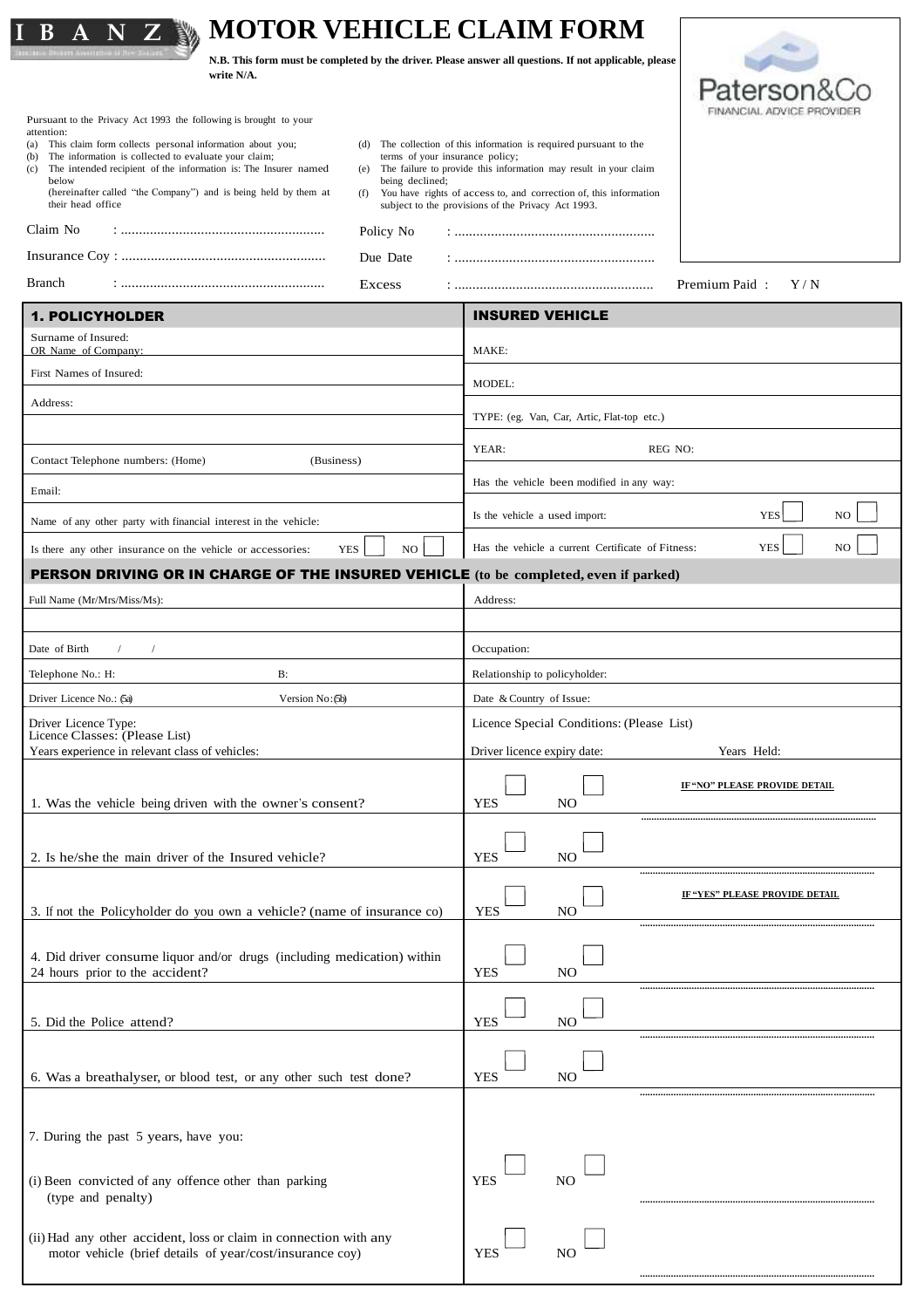|                                                                                                                               |                                        | <b>MOTOR VEHICLE CLAIM FORM</b>                                                                                         |                                       |
|-------------------------------------------------------------------------------------------------------------------------------|----------------------------------------|-------------------------------------------------------------------------------------------------------------------------|---------------------------------------|
| write N/A.                                                                                                                    |                                        | N.B. This form must be completed by the driver. Please answer all questions. If not applicable, please                  |                                       |
|                                                                                                                               |                                        |                                                                                                                         | Patersor                              |
| Pursuant to the Privacy Act 1993 the following is brought to your<br>attention:                                               |                                        |                                                                                                                         |                                       |
| (a) This claim form collects personal information about you;<br>The information is collected to evaluate your claim;<br>(b)   | (d)<br>terms of your insurance policy; | The collection of this information is required pursuant to the                                                          |                                       |
| (c) The intended recipient of the information is: The Insurer named<br>below                                                  | being declined;                        | (e) The failure to provide this information may result in your claim                                                    |                                       |
| (hereinafter called "the Company") and is being held by them at<br>their head office                                          | (f)                                    | You have rights of access to, and correction of, this information<br>subject to the provisions of the Privacy Act 1993. |                                       |
| Claim No                                                                                                                      | Policy No                              |                                                                                                                         |                                       |
|                                                                                                                               | Due Date                               |                                                                                                                         |                                       |
| Branch                                                                                                                        | Excess                                 |                                                                                                                         | Premium Paid:<br>Y/N                  |
| <b>1. POLICYHOLDER</b>                                                                                                        |                                        | <b>INSURED VEHICLE</b>                                                                                                  |                                       |
| Surname of Insured:<br>OR Name of Company:                                                                                    |                                        | MAKE:                                                                                                                   |                                       |
| First Names of Insured:                                                                                                       |                                        | MODEL:                                                                                                                  |                                       |
| Address:                                                                                                                      |                                        |                                                                                                                         |                                       |
|                                                                                                                               |                                        | TYPE: (eg. Van, Car, Artic, Flat-top etc.)                                                                              |                                       |
| Contact Telephone numbers: (Home)<br>(Business)                                                                               |                                        | REG NO:<br>YEAR:                                                                                                        |                                       |
| Email:                                                                                                                        |                                        | Has the vehicle been modified in any way:                                                                               |                                       |
| Name of any other party with financial interest in the vehicle:                                                               |                                        | Is the vehicle a used import:                                                                                           | <b>YES</b><br>NO.                     |
| Is there any other insurance on the vehicle or accessories:                                                                   | <b>YES</b><br>NO                       | Has the vehicle a current Certificate of Fitness:                                                                       | <b>YES</b><br>N <sub>O</sub>          |
| <b>PERSON DRIVING OR IN CHARGE OF THE INSURED VEHICLE</b> (to be completed, even if parked)                                   |                                        |                                                                                                                         |                                       |
| Full Name (Mr/Mrs/Miss/Ms):                                                                                                   |                                        | Address:                                                                                                                |                                       |
|                                                                                                                               |                                        |                                                                                                                         |                                       |
| Date of Birth<br>$\sqrt{2}$                                                                                                   |                                        | Occupation:                                                                                                             |                                       |
| $B$ :<br>Telephone No.: H:                                                                                                    |                                        | Relationship to policyholder:                                                                                           |                                       |
| Driver Licence No.: (5a)<br>Version No: (5b)                                                                                  |                                        | Date & Country of Issue:                                                                                                |                                       |
| Driver Licence Type:<br>Licence Classes: (Please List)                                                                        |                                        | Licence Special Conditions: (Please List)                                                                               |                                       |
| Years experience in relevant class of vehicles:                                                                               |                                        | Driver licence expiry date:                                                                                             | Years Held:                           |
| 1. Was the vehicle being driven with the owner's consent?                                                                     |                                        | <b>YES</b><br>N <sub>O</sub>                                                                                            | IF "NO" PLEASE PROVIDE DETAIL         |
|                                                                                                                               |                                        |                                                                                                                         |                                       |
| 2. Is he/she the main driver of the Insured vehicle?                                                                          |                                        | <b>YES</b><br>NO                                                                                                        |                                       |
|                                                                                                                               |                                        |                                                                                                                         | <b>IF "YES" PLEASE PROVIDE DETAIL</b> |
| 3. If not the Policyholder do you own a vehicle? (name of insurance co)                                                       |                                        | <b>YES</b><br>N <sub>O</sub>                                                                                            |                                       |
| 4. Did driver consume liquor and/or drugs (including medication) within                                                       |                                        |                                                                                                                         |                                       |
| 24 hours prior to the accident?                                                                                               |                                        | <b>YES</b><br>N <sub>O</sub>                                                                                            |                                       |
|                                                                                                                               |                                        |                                                                                                                         |                                       |
| 5. Did the Police attend?                                                                                                     |                                        | <b>YES</b><br>NO                                                                                                        |                                       |
| 6. Was a breathalyser, or blood test, or any other such test done?                                                            |                                        | <b>YES</b><br>N <sub>O</sub>                                                                                            |                                       |
|                                                                                                                               |                                        |                                                                                                                         |                                       |
|                                                                                                                               |                                        |                                                                                                                         |                                       |
| 7. During the past 5 years, have you:                                                                                         |                                        |                                                                                                                         |                                       |
| (i) Been convicted of any offence other than parking                                                                          |                                        | <b>YES</b><br>N <sub>O</sub>                                                                                            |                                       |
| (type and penalty)                                                                                                            |                                        |                                                                                                                         |                                       |
| (ii) Had any other accident, loss or claim in connection with any<br>motor vehicle (brief details of year/cost/insurance coy) |                                        | N <sub>O</sub><br><b>YES</b>                                                                                            |                                       |

**...........................................................................................**

|  |  | (ii) Had any other accident, loss or claim in connection with any |  |  |  |  |
|--|--|-------------------------------------------------------------------|--|--|--|--|
|  |  | motor vehicle (brief details of year/cost/insurance coy)          |  |  |  |  |